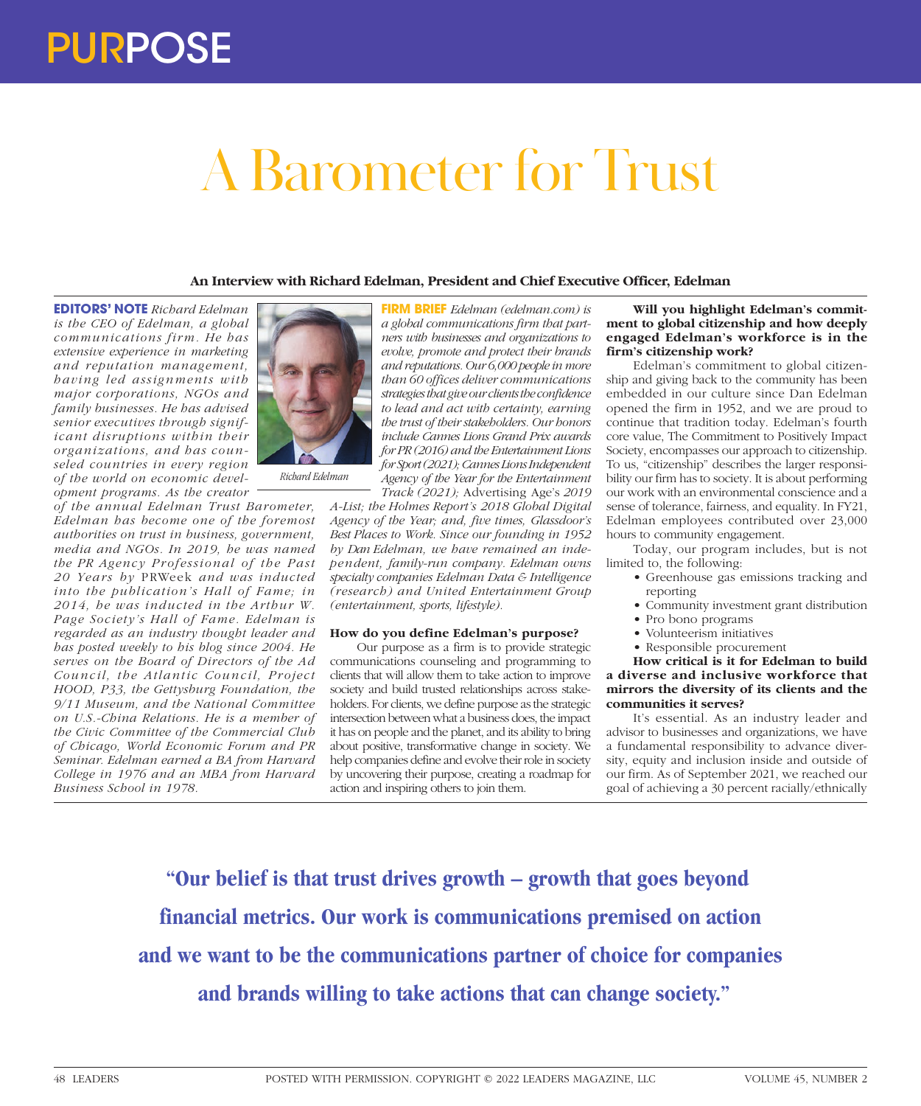# A Barometer for Trust

### **An Interview with Richard Edelman, President and Chief Executive Officer, Edelman**

**EDITORS' NOTE** *Richard Edelman is the CEO of Edelman, a global communications firm. He has extensive experience in marketing and reputation management, having led assignments with major corporations, NGOs and family businesses. He has advised senior executives through significant disruptions within their organizations, and has counseled countries in every region of the world on economic development programs. As the creator* 

*of the annual Edelman Trust Barometer, Edelman has become one of the foremost authorities on trust in business, government, media and NGOs. In 2019, he was named the PR Agency Pr ofessional of the Past 20 Years by* PRWeek *and was inducted into the publication's Hall of Fame; in 2014, he was inducted in the Arthur W. Page Society's Hall of Fame. Edelman is regarded as an industry thought leader and has posted weekly to his blog since 2004. He serves on the Board of Directors of the Ad Council, the Atlantic Council, Project HOOD, P33, the Gettysburg Foundation, the 9/11 Museum, and the National Committee on U.S.-China Relations. He is a member of the Civic Committee of the Commercial Club of Chicago, World Economic Forum and PR Seminar. Edelman earned a BA from Harvard College in 1976 and an MBA from Harvard Business School in 1978.*



**FIRM BRIEF** *Edelman (edelman.com) is a global communications firm that partners with businesses and organizations to evolve, promote and protect their brands and reputations. Our 6,000 people in more than 60 offices deliver communications strategies that give our clients the confidence to lead and act with certainty, earning the trust of their stakeholders. Our honors include Cannes Lions Grand Prix awards for PR (2016) and the Entertainment Lions for Sport (2021); Cannes Lions Independent Agency of the Year for the Entertainment Track (2021);* Advertising Age's *2019* 

*A-List; the Holmes Report's 2018 Global Digital Agency of the Year; and, five times, Glassdoor's Best Places to Work. Since our founding in 1952 by Dan Edelman, we have remained an independent, family-run company. Edelman owns specialty companies Edelman Data & Intelligence (research) and United Entertainment Group (entertainment, sports, lifestyle).*

### **How do you define Edelman's purpose?**

Our purpose as a firm is to provide strategic communications counseling and programming to clients that will allow them to take action to improve society and build trusted relationships across stakeholders. For clients, we define purpose as the strategic intersection between what a business does, the impact it has on people and the planet, and its ability to bring about positive, transformative change in society. We help companies define and evolve their role in society by uncovering their purpose, creating a roadmap for action and inspiring others to join them.

## **Will you highlight Edelman's commitment to global citizenship and how deeply engaged Edelman's workforce is in the firm's citizenship work?**

Edelman's commitment to global citizenship and giving back to the community has been embedded in our culture since Dan Edelman opened the firm in 1952, and we are proud to continue that tradition today. Edelman's fourth core value, The Commitment to Positively Impact Society, encompasses our approach to citizenship. To us, "citizenship" describes the larger responsibility our firm has to society. It is about performing our work with an environmental conscience and a sense of tolerance, fairness, and equality. In FY21, Edelman employees contributed over 23,000 hours to community engagement.

Today, our program includes, but is not limited to, the following:

- Greenhouse gas emissions tracking and reporting
- Community investment grant distribution
- Pro bono programs
- Volunteerism initiatives
- Responsible procurement

**How critical is it for Edelman to build a diverse and inclusive workforce that mirrors the diversity of its clients and the communities it serves?**

It's essential. As an industry leader and advisor to businesses and organizations, we have a fundamental responsibility to advance diversity, equity and inclusion inside and outside of our firm. As of September 2021, we reached our goal of achieving a 30 percent racially/ethnically

**"Our belief is that trust drives growth – growth that goes beyond financial metrics. Our work is communications premised on action and we want to be the communications partner of choice for companies and brands willing to take actions that can change society."**